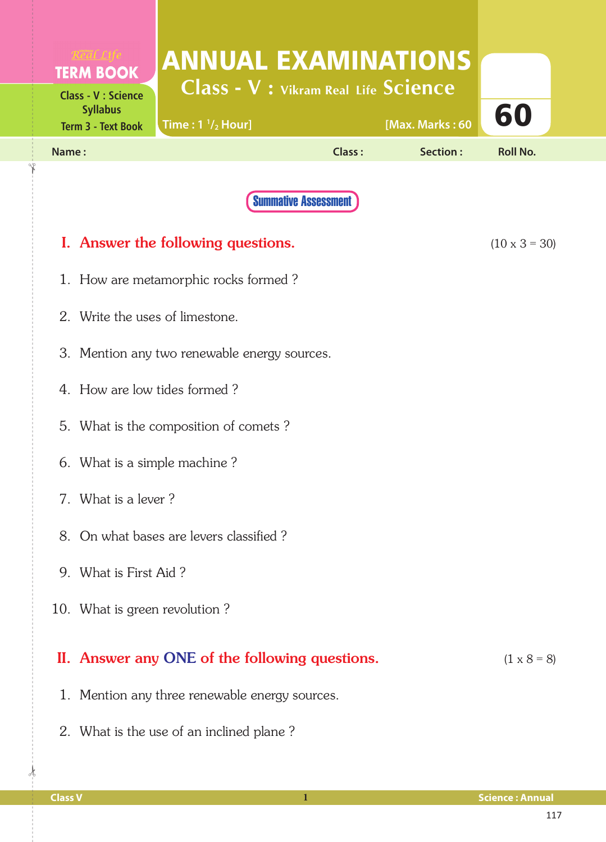| <b>TERM BOOK</b>                              | <b>ANNUAL EXAMINATIONS</b>                     |                             |          |                    |  |  |  |  |  |
|-----------------------------------------------|------------------------------------------------|-----------------------------|----------|--------------------|--|--|--|--|--|
| <b>Class - V : Science</b><br><b>Syllabus</b> | <b>Class - V : Vikram Real Life Science</b>    |                             |          |                    |  |  |  |  |  |
| <b>Term 3 - Text Book</b>                     | [Max. Marks: 60<br>Time: $1\frac{1}{2}$ Hour]  |                             |          |                    |  |  |  |  |  |
| Name:                                         |                                                | Class:                      | Section: | <b>Roll No.</b>    |  |  |  |  |  |
|                                               |                                                | <b>Summative Assessment</b> |          |                    |  |  |  |  |  |
| I. Answer the following questions.            | $(10 \times 3 = 30)$                           |                             |          |                    |  |  |  |  |  |
| 1. How are metamorphic rocks formed?          |                                                |                             |          |                    |  |  |  |  |  |
| 2. Write the uses of limestone.               |                                                |                             |          |                    |  |  |  |  |  |
| 3. Mention any two renewable energy sources.  |                                                |                             |          |                    |  |  |  |  |  |
|                                               | 4. How are low tides formed?                   |                             |          |                    |  |  |  |  |  |
|                                               | 5. What is the composition of comets?          |                             |          |                    |  |  |  |  |  |
|                                               | 6. What is a simple machine?                   |                             |          |                    |  |  |  |  |  |
|                                               | 7. What is a lever?                            |                             |          |                    |  |  |  |  |  |
|                                               | 8. On what bases are levers classified?        |                             |          |                    |  |  |  |  |  |
|                                               | 9. What is First Aid?                          |                             |          |                    |  |  |  |  |  |
| 10. What is green revolution?                 |                                                |                             |          |                    |  |  |  |  |  |
|                                               | II. Answer any ONE of the following questions. |                             |          | $(1 \times 8 = 8)$ |  |  |  |  |  |
|                                               | 1. Mention any three renewable energy sources. |                             |          |                    |  |  |  |  |  |
|                                               | 2. What is the use of an inclined plane?       |                             |          |                    |  |  |  |  |  |

 $\frac{1}{2}$ 

✁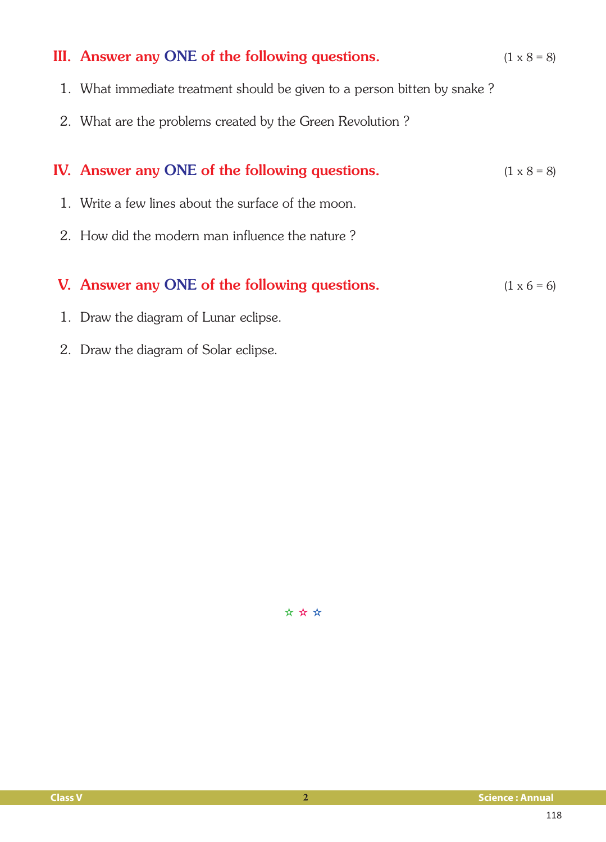| III. Answer any ONE of the following questions.                          | $(1 \times 8 = 8)$ |
|--------------------------------------------------------------------------|--------------------|
| 1. What immediate treatment should be given to a person bitten by snake? |                    |
| 2. What are the problems created by the Green Revolution?                |                    |
|                                                                          |                    |
| IV. Answer any ONE of the following questions.                           | $(1 \times 8 = 8)$ |
| 1. Write a few lines about the surface of the moon.                      |                    |
| 2. How did the modern man influence the nature?                          |                    |
|                                                                          |                    |
| V. Answer any ONE of the following questions.                            | $(1 \times 6 = 6)$ |
| 1. Draw the diagram of Lunar eclipse.                                    |                    |

2. Draw the diagram of Solar eclipse.

✫ ✫ ✫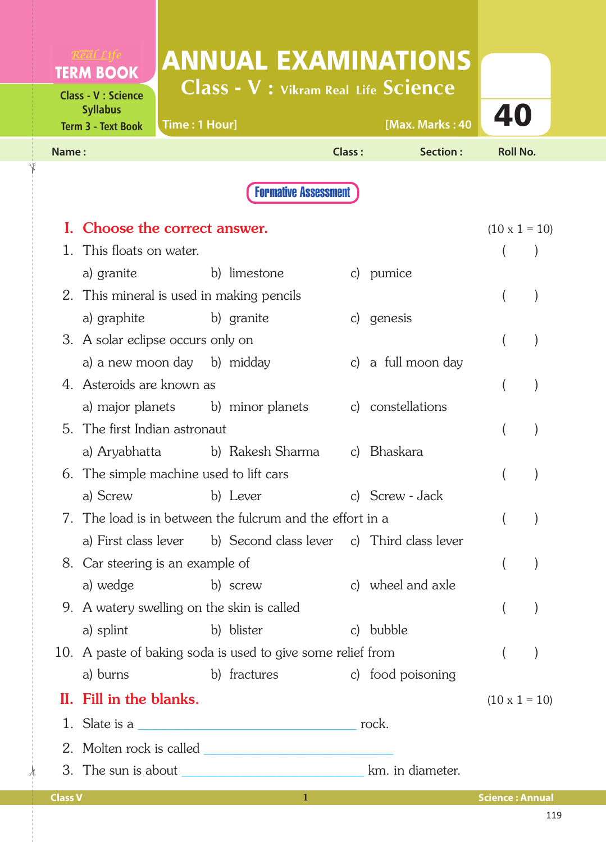|                | <b>TERM BOOK</b>                                                           |               |                                   |                                                             | <b>ANNUAL EXAMINATIONS</b>                                     |                          |  |
|----------------|----------------------------------------------------------------------------|---------------|-----------------------------------|-------------------------------------------------------------|----------------------------------------------------------------|--------------------------|--|
|                | <b>Class - V : Science</b><br><b>Syllabus</b><br><b>Term 3 - Text Book</b> | Time: 1 Hour] |                                   |                                                             | <b>Class - V : Vikram Real Life Science</b><br>[Max. Marks: 40 | 40                       |  |
| Name:          |                                                                            |               |                                   | Class:                                                      | Section:                                                       | <b>Roll No.</b>          |  |
|                |                                                                            |               |                                   | <b>Formative Assessment</b>                                 |                                                                |                          |  |
|                | I. Choose the correct answer.                                              |               |                                   |                                                             |                                                                | $(10 \times 1 = 10)$     |  |
|                | 1. This floats on water.                                                   |               |                                   |                                                             |                                                                |                          |  |
|                | a) granite                                                                 |               | b) limestone                      |                                                             | c) pumice                                                      |                          |  |
|                | 2. This mineral is used in making pencils                                  |               |                                   |                                                             |                                                                |                          |  |
|                | a) graphite b) granite                                                     |               |                                   |                                                             | c) genesis                                                     |                          |  |
|                | 3. A solar eclipse occurs only on                                          |               |                                   |                                                             |                                                                |                          |  |
|                | a) a new moon day b) midday                                                |               |                                   |                                                             | c) a full moon day                                             |                          |  |
|                | 4. Asteroids are known as                                                  |               |                                   |                                                             |                                                                |                          |  |
|                |                                                                            |               | a) major planets b) minor planets |                                                             | c) constellations                                              |                          |  |
|                | 5. The first Indian astronaut                                              |               |                                   |                                                             |                                                                |                          |  |
|                |                                                                            |               | a) Aryabhatta b) Rakesh Sharma    |                                                             | c) Bhaskara                                                    |                          |  |
|                | 6. The simple machine used to lift cars                                    |               |                                   |                                                             |                                                                |                          |  |
|                |                                                                            |               | a) Screw b) Lever                 |                                                             | c) Screw - Jack                                                |                          |  |
|                |                                                                            |               |                                   | 7. The load is in between the fulcrum and the effort in a   |                                                                |                          |  |
|                | a) First class lever                                                       |               |                                   |                                                             | b) Second class lever c) Third class lever                     |                          |  |
|                | 8. Car steering is an example of                                           |               |                                   |                                                             |                                                                | $\overline{(}$           |  |
|                | a) wedge                                                                   |               | b) screw                          |                                                             | c) wheel and axle                                              |                          |  |
|                | 9. A watery swelling on the skin is called                                 |               |                                   |                                                             |                                                                | $\overline{\phantom{a}}$ |  |
|                | a) splint                                                                  |               | b) blister                        |                                                             | c) bubble                                                      |                          |  |
|                |                                                                            |               |                                   | 10. A paste of baking soda is used to give some relief from |                                                                |                          |  |
|                | a) burns                                                                   |               | b) fractures                      |                                                             | c) food poisoning                                              |                          |  |
| П.             | Fill in the blanks.                                                        |               |                                   |                                                             |                                                                | $(10 \times 1 = 10)$     |  |
|                |                                                                            |               |                                   |                                                             |                                                                |                          |  |
| 2.             |                                                                            |               |                                   |                                                             |                                                                |                          |  |
|                |                                                                            |               |                                   |                                                             |                                                                |                          |  |
| <b>Class V</b> |                                                                            |               |                                   | $\mathbf{1}$                                                |                                                                | <b>Science: Annual</b>   |  |

 $\frac{1}{2}$ 

✁